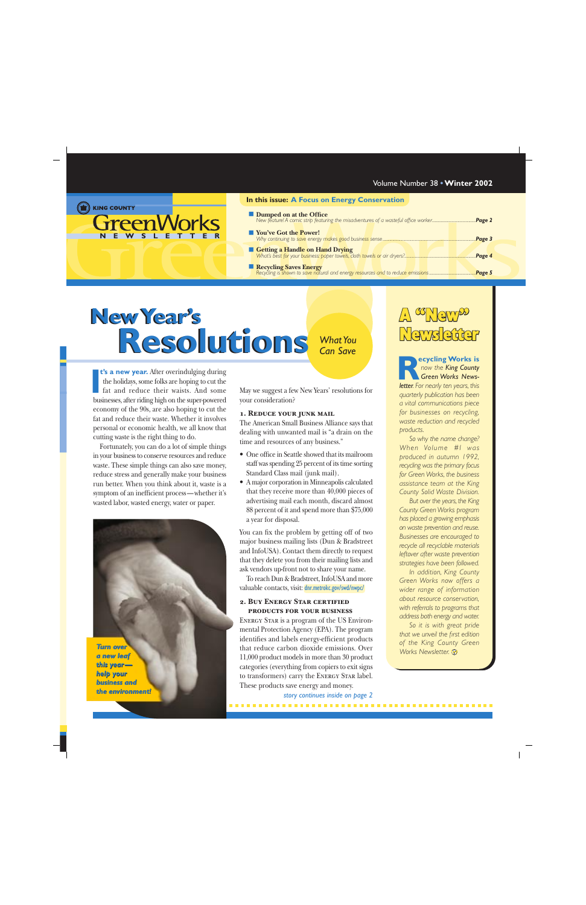| [) KING COUNTY |  |
|----------------|--|
|----------------|--|

GreenWork **NEWSLETTER**

#### **In this issue: A Focus on Energy Conservation**

- **Dumped on at the Office**
- *[New feature! A comic strip featuring the misadventures of a wasteful office worker............................................](#page-1-0)Page 2* ■ **You've Got the Power!** *[Why continuing to save energy makes good business sense..............................................................................................](#page-2-0)Page 3*
- **Getting a Handle on Hand Drying** *[What's best for your business: paper towels, cloth towels or air dryers?........................................................................](#page-3-0)Page 4* ■ **Recycling Saves Energy** *[Recycling is shown to save natural and energy resources and to reduce emissions...............................................](#page-4-0)Page 5*

# **New Year's New Year's Resolutions Resolutions** *What You Can Save*

**t's a new year.** After overindulging during the holidays, some folks are hoping to cut the fat and reduce their waists. And some **t's a new year.** After overindulging during the holidays, some folks are hoping to cut the fat and reduce their waists. And some businesses, after riding high on the super-powered economy of the 90s, are also hoping to cut the fat and reduce their waste. Whether it involves personal or economic health, we all know that cutting waste is the right thing to do.

Fortunately, you can do a lot of simple things in your business to conserve resources and reduce waste. These simple things can also save money, reduce stress and generally make your business run better. When you think about it, waste is a symptom of an inefficient process—whether it's wasted labor, wasted energy, water or paper.

*Turn over over a new leaf a new leaf this year — this year help your business and business and the environment! environment!*

May we suggest a few New Years' resolutions for your consideration?

#### **1. Reduce your junk mail**

The American Small Business Alliance says that dealing with unwanted mail is "a drain on the time and resources of any business."

- One office in Seattle showed that its mailroom staff was spending 25 percent of its time sorting Standard Class mail (junk mail).
- A major corporation in Minneapolis calculated that they receive more than 40,000 pieces of advertising mail each month, discard almost 88 percent of it and spend more than \$75,000 a year for disposal.

You can fix the problem by getting off of two major business mailing lists (Dun & Bradstreet and InfoUSA). Contact them directly to request that they delete you from their mailing lists and ask vendors up-front not to share your name.

To reach Dun & Bradstreet, InfoUSA and more valuable contacts, visit: [dnr.metrokc.gov/swd/nwpc/](http://dnr.metrokc.gov/swd/nwpc/)

#### **2. Buy Energy Star certified products for your business**

Energy Star is a program of the US Environmental Protection Agency (EPA). The program identifies and labels energy-efficient products that reduce carbon dioxide emissions. Over 11,000 product models in more than 30 product categories (everything from copiers to exit signs to transformers) carry the Energy Star label. These products save energy and money.

*[story continues inside on page 2](#page-1-0)*

## A "New" News efter

**ecycling Works is** *now the King County Green Works Newsletter. For nearly ten years, this* **R** *quarterly publication has been a vital communications piece for businesses on recycling, waste reduction and recycled products.*

*So why the name change? When Volume #I was produced in autumn 1992, recycling was the primary focus for Green Works, the business assistance team at the King County Solid Waste Division.*

*But over the years, the King County Green Works program has placed a growing emphasis on waste prevention and reuse. Businesses are encouraged to recycle all recyclable materials leftover after waste prevention strategies have been followed.*

*In addition, King County Green Works now offers a wider range of information about resource conservation, with referrals to programs that address both energy and water.*

*So it is with great pride that we unveil the first edition of the King County Green Works Newsletter.*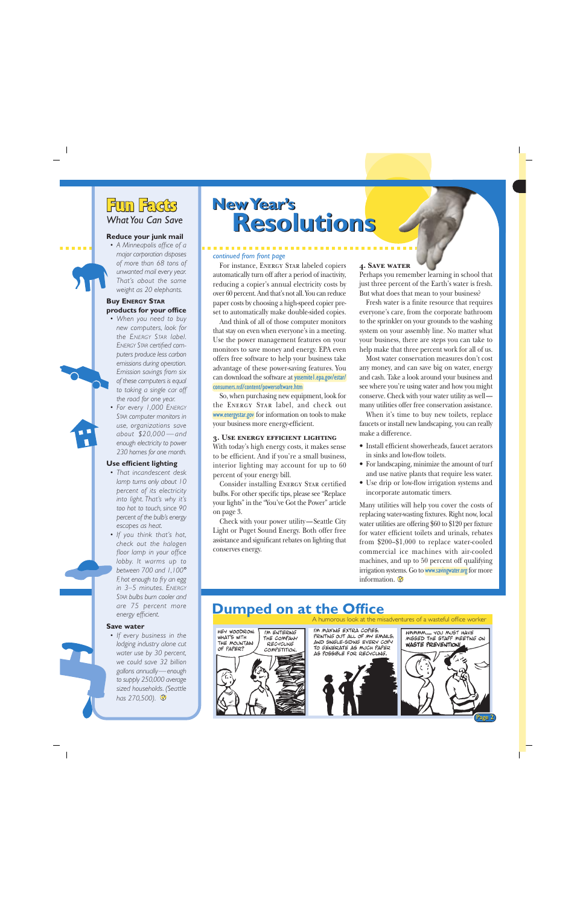### <span id="page-1-0"></span>Fun Facts *What You Can Save*

#### **Reduce your junk mail**

*• A Minneapolis office of a major corporation disposes of more than 68 tons of unwanted mail every year. That's about the same weight as 20 elephants.*

#### **Buy ENERGY STAR products for your office**

- *• When you need to buy new computers, look for the ENERGY STAR label. ENERGY STAR certified computers produce less carbon emissions during operation. Emission savings from six of these computers is equal to taking a single car off the road for one year.*
- *• For every 1,000 ENERGY STAR computer monitors in use, organizations save about \$20,000 — and enough electricity to power 230 homes for one month.*

#### **Use efficient lighting**

- *• That incandescent desk lamp turns only about 10 percent of its electricity into light. That's why it's too hot to touch, since 90 percent of the bulb's energy escapes as heat.*
- *• If you think that's hot, check out the halogen floor lamp in your office lobby. It warms up to between 700 and 1,100*° *F, hot enough to fry an egg in 3–5 minutes. ENERGY STAR bulbs burn cooler and are 75 percent more energy efficient.*

#### **Save water**

*• If every business in the lodging industry alone cut water use by 30 percent, we could save 32 billion gallons annually—enough to supply 250,000 average sized households. (Seattle has 270,500).*

## **New Year's New Year's Resolutions Resolutions**

#### *continued from front page*

For instance, Energy Star labeled copiers automatically turn off after a period of inactivity, reducing a copier's annual electricity costs by over 60 percent. And that's not all. You can reduce paper costs by choosing a high-speed copier preset to automatically make double-sided copies.

And think of all of those computer monitors that stay on even when everyone's in a meeting. Use the power management features on your monitors to save money and energy. EPA even offers free software to help your business take advantage of these power-saving features. You can download the software at **yosemitel.epa.gov/estar/** [consumers.nsf/content/powersoftware.htm](http://yosemite1.epa.gov/estar/consumers.nsf/content/powersoftware.htm)

So, when purchasing new equipment, look for the ENERGY STAR label, and check out [www.energystar.gov](http://www.energystar.gov) for information on tools to make your business more energy-efficient.

#### **3. Use energy efficient lighting**

With today's high energy costs, it makes sense to be efficient. And if you're a small business, interior lighting may account for up to 60 percent of your energy bill.

Consider installing Energy Star certified bulbs. For other specific tips, please see "Replace your lights" in the "You've Got the Power" article on page 3.

Check with your power utility—Seattle City Light or Puget Sound Energy. Both offer free assistance and significant rebates on lighting that conserves energy.

#### **4. Save water**

Perhaps you remember learning in school that just three percent of the Earth's water is fresh. But what does that mean to your business?

Fresh water is a finite resource that requires everyone's care, from the corporate bathroom to the sprinkler on your grounds to the washing system on your assembly line. No matter what your business, there are steps you can take to help make that three percent work for all of us.

Most water conservation measures don't cost any money, and can save big on water, energy and cash. Take a look around your business and see where you're using water and how you might conserve. Check with your water utility as well many utilities offer free conservation assistance.

When it's time to buy new toilets, replace faucets or install new landscaping, you can really make a difference.

- Install efficient showerheads, faucet aerators in sinks and low-flow toilets.
- For landscaping, minimize the amount of turf and use native plants that require less water.
- Use drip or low-flow irrigation systems and incorporate automatic timers.

Many utilities will help you cover the costs of replacing water-wasting fixtures. Right now, local water utilities are offering \$60 to \$120 per fixture for water efficient toilets and urinals, rebates from \$200–\$1,000 to replace water-cooled commercial ice machines with air-cooled machines, and up to 50 percent off qualifying irrigation systems. Go to **[www.savingwater.org](http://www.savingwater.org)** for more information.

### **Dumped on at the Office**

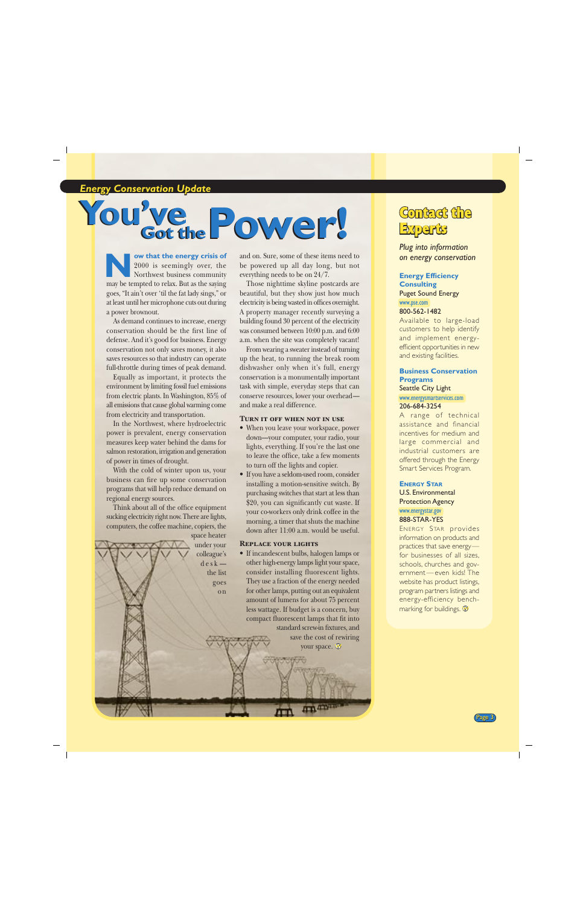<span id="page-2-0"></span>*<u>Energy Conservation Update</u>* 

## You' **You've Power!** Contact the

**ow that the energy crisis of** 2000 is seemingly over, the Northwest business community may be tempted to relax. But as the saying goes, "It ain't over 'til the fat lady sings," or at least until her microphone cuts out during a power brownout. **Now that the energy crisis of** and on. Sure, some of these items need to 2000 is seemingly over, the be powered up all day long, but not everything needs to be on 24/7.<br>
Those nighttime skyline postcards are

As demand continues to increase, energy conservation should be the first line of defense. And it's good for business. Energy conservation not only saves money, it also saves resources so that industry can operate full-throttle during times of peak demand.

Equally as important, it protects the environment by limiting fossil fuel emissions from electric plants. In Washington, 85% of all emissions that cause global warming come from electricity and transportation.

In the Northwest, where hydroelectric power is prevalent, energy conservation measures keep water behind the dams for salmon restoration, irrigation and generation of power in times of drought.

With the cold of winter upon us, your business can fire up some conservation programs that will help reduce demand on regional energy sources.

Think about all of the office equipment sucking electricity right now. There are lights, computers, the coffee machine, copiers, the space heater

> under your colleague's  $d e s k$ the list goes o n

be powered up all day long, but not everything needs to be on 24/7.

Those nighttime skyline postcards are beautiful, but they show just how much electricity is being wasted in offices overnight. A property manager recently surveying a building found 30 percent of the electricity was consumed between 10:00 p.m. and 6:00 a.m. when the site was completely vacant!

From wearing a sweater instead of turning up the heat, to running the break room dishwasher only when it's full, energy conservation is a monumentally important task with simple, everyday steps that can conserve resources, lower your overhead and make a real difference.

#### **Turn it off when not in use**

- When you leave your workspace, power down—your computer, your radio, your lights, everything. If you're the last one to leave the office, take a few moments to turn off the lights and copier.
- If you have a seldom-used room, consider installing a motion-sensitive switch. By purchasing switches that start at less than \$20, you can significantly cut waste. If your co-workers only drink coffee in the morning, a timer that shuts the machine down after 11:00 a.m. would be useful.

#### **Replace your lights**

• If incandescent bulbs, halogen lamps or other high-energy lamps light your space, consider installing fluorescent lights. They use a fraction of the energy needed for other lamps, putting out an equivalent amount of lumens for about 75 percent less wattage. If budget is a concern, buy compact fluorescent lamps that fit into standard screw-in fixtures, and

> save the cost of rewiring your space.

> > m mm

# Experts

*Plug into information on energy conservation*

#### **Energy Efficiency Consulting**

Puget Sound Energy [www.pse.com](http://www.pse.com) 800-562-1482

Available to large-load customers to help identify and implement energyefficient opportunities in new and existing facilities.

#### **Business Conservation Programs** Seattle City Light

[www.energysmartservices.com](http://www.energysmartservices.com) 206-684-3254

A range of technical assistance and financial incentives for medium and large commercial and industrial customers are offered through the Energy Smart Services Program.

#### **ENERGY STAR**

U.S. Environmental Protection Agency [www.energystar.gov](http://www.energystar.gov) 888-STAR-YES

ENERGY STAR provides information on products and practices that save energy for businesses of all sizes, schools, churches and government—even kids! The website has product listings, program partners listings and energy-efficiency benchmarking for buildings.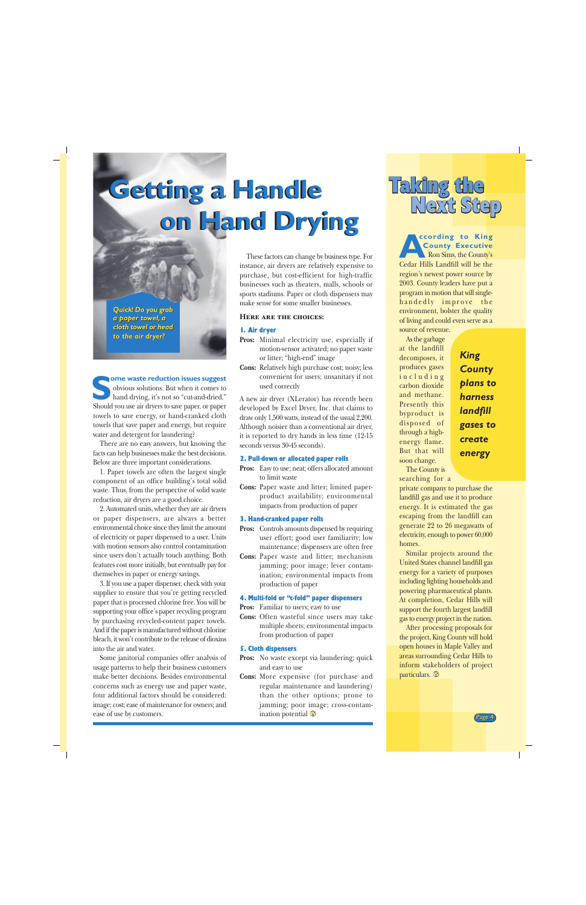# <span id="page-3-0"></span>**Getting a Handle Getting a Handle on Hand Drying on Hand Drying**

*Quick! Do you grab Quick! Do you grab a paper towel, a cloth towel or head a paper towel, acloth towel or head to the air dryer? to the air dryer?*

**ome waste reduction issues suggest** obvious solutions. But when it comes to hand drying, it's not so "cut-and-dried." Should you use air dryers to save paper, or paper<br>
Should you use air dryers to save paper, or paper towels to save energy, or hand-cranked cloth towels that save paper and energy, but require water and detergent for laundering?

There are no easy answers, but knowing the facts can help businesses make the best decisions. Below are three important considerations.

1. Paper towels are often the largest single component of an office building's total solid waste. Thus, from the perspective of solid waste reduction, air dryers are a good choice.

2. Automated units, whether they are air dryers or paper dispensers, are always a better environmental choice since they limit the amount of electricity or paper dispensed to a user. Units with motion sensors also control contamination since users don't actually touch anything. Both features cost more initially, but eventually pay for themselves in paper or energy savings.

3. If you use a paper dispenser, check with your supplier to ensure that you're getting recycled paper that is processed chlorine free. You will be supporting your office's paper recycling program by purchasing recycled-content paper towels. And if the paper is manufactured without chlorine bleach, it won't contribute to the release of dioxins into the air and water.

Some janitorial companies offer analysis of usage patterns to help their business customers make better decisions. Besides environmental concerns such as energy use and paper waste, four additional factors should be considered: image; cost; ease of maintenance for owners; and ease of use by customers.

These factors can change by business type. For instance, air dryers are relatively expensive to purchase, but cost-efficient for high-traffic businesses such as theaters, malls, schools or sports stadiums. Paper or cloth dispensers may make sense for some smaller businesses.

#### **Here are the choices:**

#### 1. Air dryer

- **Pros:** Minimal electricity use, especially if motion-sensor activated; no paper waste or litter; "high-end" image
- **Cons:** Relatively high purchase cost; noisy; less convenient for users; unsanitary if not used correctly

A new air dryer (XLerator) has recently been developed by Excel Dryer, Inc. that claims to draw only 1,500 watts, instead of the usual 2,200. Although noisier than a conventional air dryer, it is reported to dry hands in less time (12-15 seconds versus 30-45 seconds).

#### 2. Pull-down or allocated paper rolls

- **Pros:** Easy to use; neat; offers allocated amount to limit waste
- **Cons:** Paper waste and litter; limited paperproduct availability; environmental impacts from production of paper

#### 3. Hand-cranked paper rolls

- **Pros:** Controls amounts dispensed by requiring user effort; good user familiarity; low maintenance; dispensers are often free
- **Cons:** Paper waste and litter; mechanism jamming; poor image; lever contamination; environmental impacts from production of paper

#### 4. Multi-fold or "c-fold" paper dispensers

**Pros:** Familiar to users; easy to use

**Cons:** Often wasteful since users may take multiple sheets; environmental impacts from production of paper

#### 5. Cloth dispensers

- **Pros:** No waste except via laundering; quick and easy to use
- **Cons:** More expensive (for purchase and regular maintenance and laundering) than the other options; prone to jamming; poor image; cross-contamination potential  $\odot$



**According to King County Executive** Ron Sims, the County's Cedar Hills Landfill will be the region's newest power source by 2003. County leaders have put a program in motion that will singlehandedly improve the environment, bolster the quality of living and could even serve as a

source of revenue. As the garbage at the landfill decomposes, it produces gases including carbon dioxide and methane. Presently this byproduct is disposed of through a highenergy flame. But that will soon change.

*King County plans to harness landfill gases to create energy*

The County is searching for a

private company to purchase the landfill gas and use it to produce energy. It is estimated the gas escaping from the landfill can generate 22 to 26 megawatts of electricity, enough to power 60,000 homes.

Similar projects around the United States channel landfill gas energy for a variety of purposes including lighting households and powering pharmaceutical plants. At completion, Cedar Hills will support the fourth largest landfill gas to energy project in the nation.

After processing proposals for the project, King County will hold open houses in Maple Valley and areas surrounding Cedar Hills to inform stakeholders of project particulars.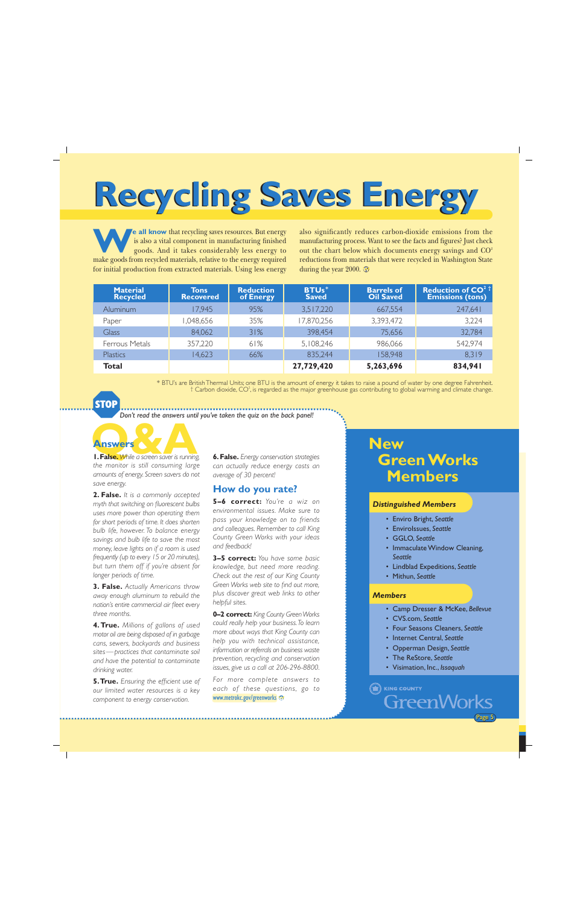# <span id="page-4-0"></span>**Recycling Saves Energy**

**e all know** that recycling saves resources. But energy is also a vital component in manufacturing finished goods. And it takes considerably less energy to make goods from recycled materials, relative to the energy required for initial production from extracted materials. Using less energy

also significantly reduces carbon-dioxide emissions from the manufacturing process. Want to see the facts and figures? Just check out the chart below which documents energy savings and  $CO<sup>2</sup>$ reductions from materials that were recycled in Washington State during the year 2000.  $\odot$ 

| <b>Material</b><br><b>Recycled</b> | Tons<br><b>Recovered</b> | <b>Reduction</b><br>of Energy | <b>BTUs</b> *<br><b>Saved</b> | <b>Barrels of</b><br><b>Oil Saved</b> | <b>Reduction of CO<sup>2</sup> T</b><br><b>Emissions (tons)</b> |
|------------------------------------|--------------------------|-------------------------------|-------------------------------|---------------------------------------|-----------------------------------------------------------------|
| Aluminum                           | 17,945                   | 95%                           | 3,517,220                     | 667,554                               | 247,641                                                         |
| Paper                              | 048,656, ا               | 35%                           | 17,870,256                    | 3,393,472                             | 3,224                                                           |
| Glass                              | 84,062                   | 31%                           | 398,454                       | 75,656                                | 32,784                                                          |
| Ferrous Metals                     | 357,220                  | 61%                           | 5,108,246                     | 986,066                               | 542,974                                                         |
| <b>Plastics</b>                    | 14,623                   | 66%                           | 835,244                       | 158,948                               | 8,319                                                           |
| Total                              |                          |                               | 27,729,420                    | 5,263,696                             | 834,941                                                         |

\* BTU's are British Thermal Units; one BTU is the amount of energy it takes to raise a pound of water by one degree Fahrenheit.  $\dagger$  Carbon dioxide, CO<sup>2</sup>, is regarded as the major greenhouse gas contributing to global warming and climate change.

**STOP** 

*Don't read the answers until you've taken the quiz on the back panel!*

**Q&A Answers 1. False.** *While a screen saver is running, the monitor is still consuming large amounts of energy. Screen savers do not save energy.*

**2. False.** *It is a commonly accepted myth that switching on fluorescent bulbs uses more power than operating them for short periods of time. It does shorten bulb life, however. To balance energy savings and bulb life to save the most money, leave lights on if a room is used frequently (up to every 15 or 20 minutes), but turn them off if you're absent for longer periods of time.*

**3. False.** *Actually Americans throw away enough aluminum to rebuild the nation's entire commercial air fleet every three months.*

**4. True.** *Millions of gallons of used motor oil are being disposed of in garbage cans, sewers, backyards and business sites—practices that contaminate soil and have the potential to contaminate drinking water.*

**5. True.** *Ensuring the efficient use of our limited water resources is a key component to energy conservation.*

**6. False.** *Energy conservation strategies can actually reduce energy costs an average of 30 percent!*

#### **How do you rate?**

**5–6 correct:** *You're a wiz on environmental issues. Make sure to pass your knowledge on to friends and colleagues. Remember to call King County Green Works with your ideas and feedback!*

**3–5 correct:** *You have some basic knowledge, but need more reading. Check out the rest of our King County Green Works web site to find out more, plus discover great web links to other helpful sites.*

**0–2 correct:** *King County Green Works could really help your business. To learn more about ways that King County can help you with technical assistance, information or referrals on business waste prevention, recycling and conservation issues, give us a call at 206-296-8800.*

*For more complete answers to each of these questions, go to* [www.metrokc.gov/greenworks](http://www.metrokc.gov/greenworks)<sup></sup>

### **New Green Works Members**

#### *Distinguished Members*

- Enviro Bright, *Seattle*
- EnviroIssues, *Seattle*
- GGLO, *Seattle*
- Immaculate Window Cleaning, *Seattle*
- Lindblad Expeditions, *Seattle*
- Mithun, *Seattle*

#### *Members*

- Camp Dresser & McKee, *Bellevue*
- CVS.com, *Seattle*
- Four Seasons Cleaners, *Seattle*
- Internet Central, *Seattle*
- Opperman Design, *Seattle*
- The ReStore, *Seattle*
- Visimation, Inc., *Issaquah*

**ED** KING COUNTY **GreenWorks**